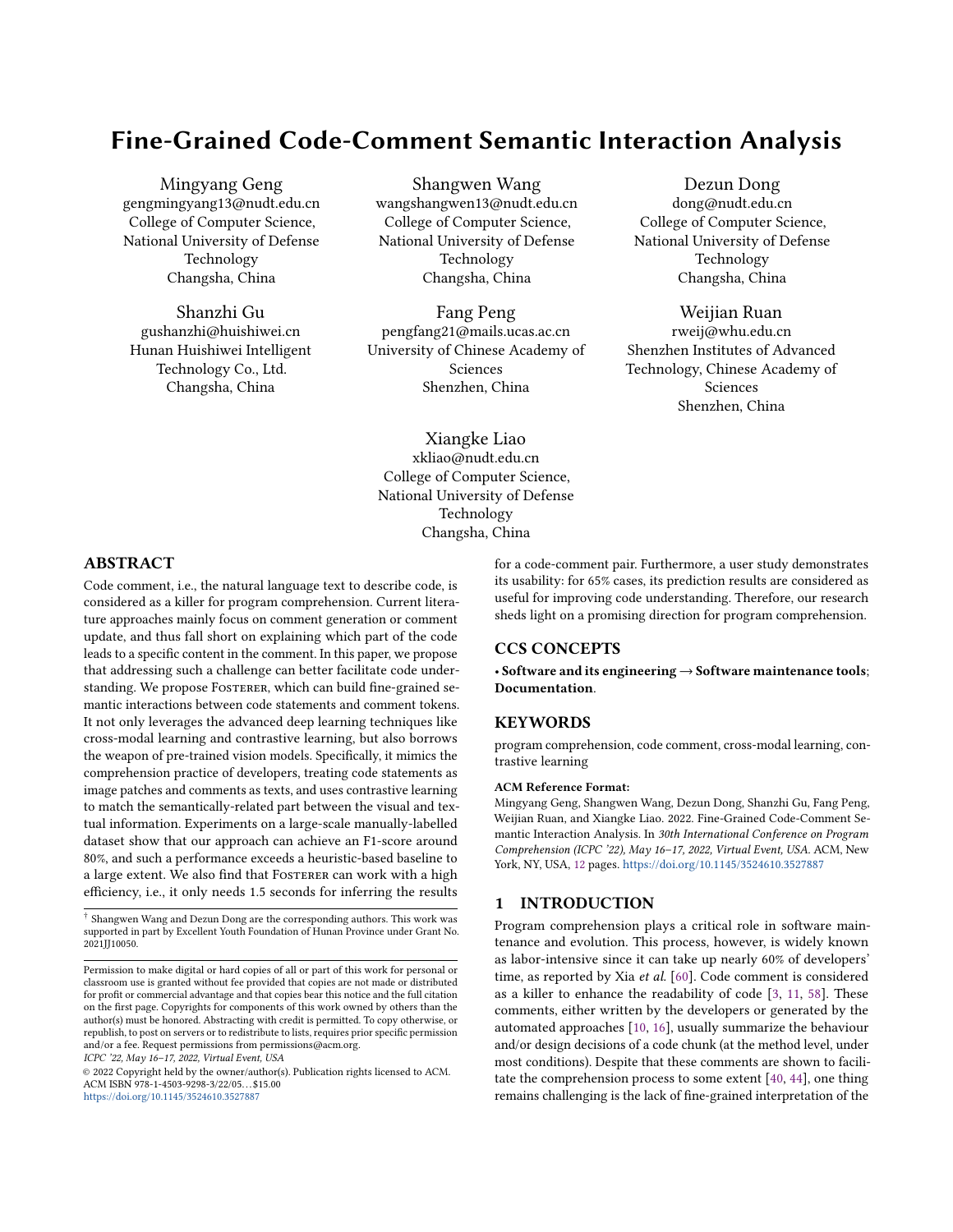# <span id="page-0-0"></span>Fine-Grained Code-Comment Semantic Interaction Analysis

Mingyang Geng gengmingyang13@nudt.edu.cn College of Computer Science, National University of Defense Technology Changsha, China

Shanzhi Gu gushanzhi@huishiwei.cn Hunan Huishiwei Intelligent Technology Co., Ltd. Changsha, China

Shangwen Wang wangshangwen13@nudt.edu.cn College of Computer Science, National University of Defense Technology Changsha, China

Fang Peng pengfang21@mails.ucas.ac.cn University of Chinese Academy of Sciences Shenzhen, China

Xiangke Liao xkliao@nudt.edu.cn College of Computer Science, National University of Defense Technology Changsha, China

Dezun Dong dong@nudt.edu.cn College of Computer Science, National University of Defense Technology Changsha, China

Weijian Ruan rweij@whu.edu.cn Shenzhen Institutes of Advanced Technology, Chinese Academy of Sciences Shenzhen, China

# ABSTRACT

Code comment, i.e., the natural language text to describe code, is considered as a killer for program comprehension. Current literature approaches mainly focus on comment generation or comment update, and thus fall short on explaining which part of the code leads to a specific content in the comment. In this paper, we propose that addressing such a challenge can better facilitate code understanding. We propose FOSTERER, which can build fine-grained semantic interactions between code statements and comment tokens. It not only leverages the advanced deep learning techniques like cross-modal learning and contrastive learning, but also borrows the weapon of pre-trained vision models. Specifically, it mimics the comprehension practice of developers, treating code statements as image patches and comments as texts, and uses contrastive learning to match the semantically-related part between the visual and textual information. Experiments on a large-scale manually-labelled dataset show that our approach can achieve an F1-score around 80%, and such a performance exceeds a heuristic-based baseline to a large extent. We also find that FOSTERER can work with a high efficiency, i.e., it only needs 1.5 seconds for inferring the results

ICPC '22, May 16–17, 2022, Virtual Event, USA

© 2022 Copyright held by the owner/author(s). Publication rights licensed to ACM. ACM ISBN 978-1-4503-9298-3/22/05. . . \$15.00 <https://doi.org/10.1145/3524610.3527887>

for a code-comment pair. Furthermore, a user study demonstrates its usability: for 65% cases, its prediction results are considered as useful for improving code understanding. Therefore, our research sheds light on a promising direction for program comprehension.

# CCS CONCEPTS

• Software and its engineering → Software maintenance tools; Documentation.

#### **KEYWORDS**

program comprehension, code comment, cross-modal learning, contrastive learning

#### ACM Reference Format:

Mingyang Geng, Shangwen Wang, Dezun Dong, Shanzhi Gu, Fang Peng, Weijian Ruan, and Xiangke Liao. 2022. Fine-Grained Code-Comment Semantic Interaction Analysis. In 30th International Conference on Program Comprehension (ICPC '22), May 16–17, 2022, Virtual Event, USA. ACM, New York, NY, USA, [12](#page-11-0) pages. <https://doi.org/10.1145/3524610.3527887>

#### 1 INTRODUCTION

Program comprehension plays a critical role in software maintenance and evolution. This process, however, is widely known as labor-intensive since it can take up nearly 60% of developers' time, as reported by Xia et al. [\[60\]](#page-11-1). Code comment is considered as a killer to enhance the readability of code [\[3,](#page-10-0) [11,](#page-10-1) [58\]](#page-11-2). These comments, either written by the developers or generated by the automated approaches [\[10,](#page-10-2) [16\]](#page-10-3), usually summarize the behaviour and/or design decisions of a code chunk (at the method level, under most conditions). Despite that these comments are shown to facilitate the comprehension process to some extent [\[40,](#page-10-4) [44\]](#page-10-5), one thing remains challenging is the lack of fine-grained interpretation of the

<sup>†</sup> Shangwen Wang and Dezun Dong are the corresponding authors. This work was supported in part by Excellent Youth Foundation of Hunan Province under Grant No. 2021JJ10050.

Permission to make digital or hard copies of all or part of this work for personal or classroom use is granted without fee provided that copies are not made or distributed for profit or commercial advantage and that copies bear this notice and the full citation on the first page. Copyrights for components of this work owned by others than the author(s) must be honored. Abstracting with credit is permitted. To copy otherwise, or republish, to post on servers or to redistribute to lists, requires prior specific permission and/or a fee. Request permissions from permissions@acm.org.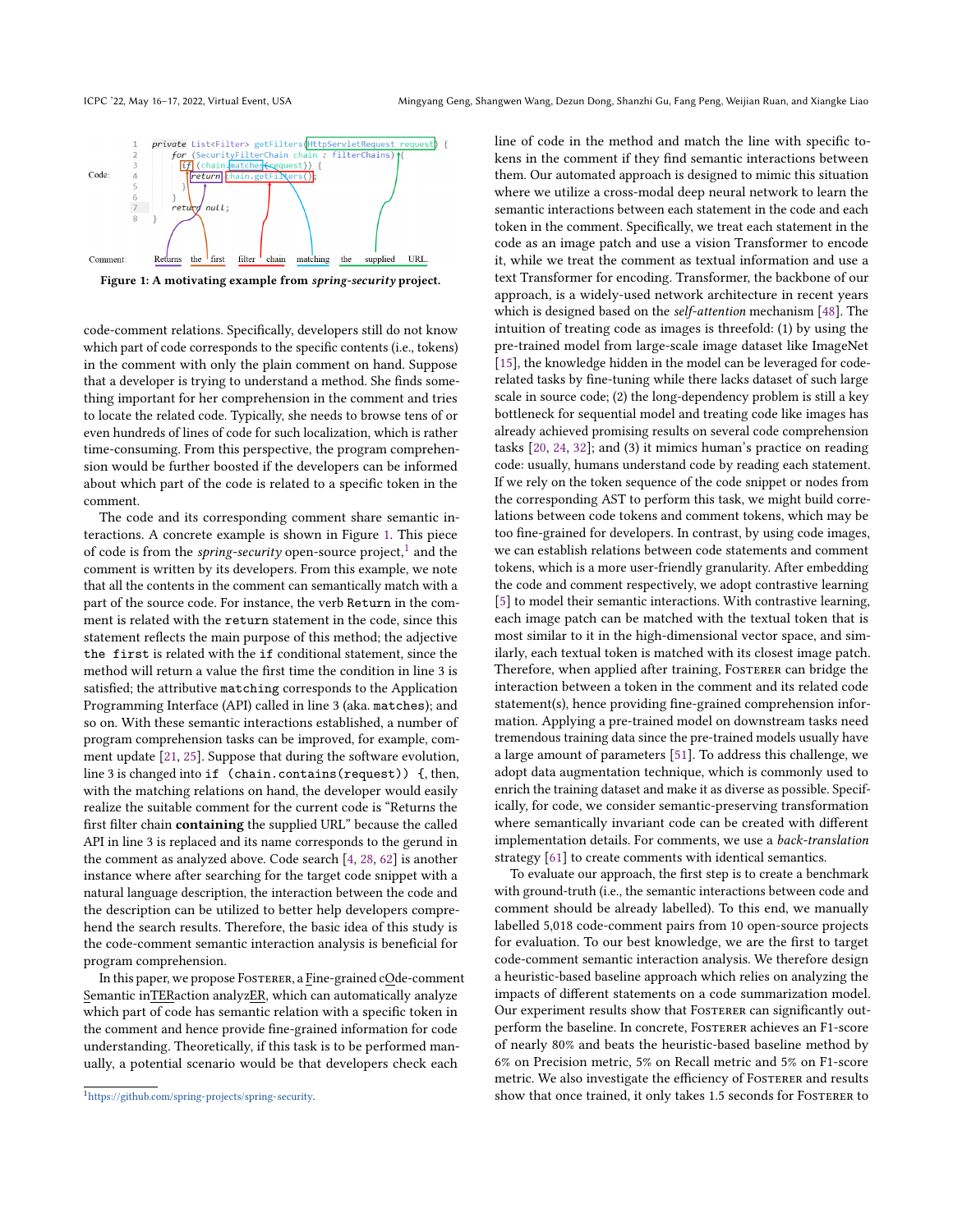<span id="page-1-0"></span>

Figure 1: A motivating example from spring-security project.

code-comment relations. Specifically, developers still do not know which part of code corresponds to the specific contents (i.e., tokens) in the comment with only the plain comment on hand. Suppose that a developer is trying to understand a method. She finds something important for her comprehension in the comment and tries to locate the related code. Typically, she needs to browse tens of or even hundreds of lines of code for such localization, which is rather time-consuming. From this perspective, the program comprehension would be further boosted if the developers can be informed about which part of the code is related to a specific token in the comment.

The code and its corresponding comment share semantic interactions. A concrete example is shown in Figure [1.](#page-1-0) This piece of code is from the spring-security open-source project, $1$  and the comment is written by its developers. From this example, we note that all the contents in the comment can semantically match with a part of the source code. For instance, the verb Return in the comment is related with the return statement in the code, since this statement reflects the main purpose of this method; the adjective the first is related with the if conditional statement, since the method will return a value the first time the condition in line 3 is satisfied; the attributive matching corresponds to the Application Programming Interface (API) called in line 3 (aka. matches); and so on. With these semantic interactions established, a number of program comprehension tasks can be improved, for example, comment update [\[21,](#page-10-6) [25\]](#page-10-7). Suppose that during the software evolution, line 3 is changed into if (chain.contains(request)) {, then, with the matching relations on hand, the developer would easily realize the suitable comment for the current code is "Returns the first filter chain containing the supplied URL" because the called API in line 3 is replaced and its name corresponds to the gerund in the comment as analyzed above. Code search [\[4,](#page-10-8) [28,](#page-10-9) [62\]](#page-11-3) is another instance where after searching for the target code snippet with a natural language description, the interaction between the code and the description can be utilized to better help developers comprehend the search results. Therefore, the basic idea of this study is the code-comment semantic interaction analysis is beneficial for program comprehension.

In this paper, we propose Fosterer, a Fine-grained cOde-comment Semantic inTERaction analyzER, which can automatically analyze which part of code has semantic relation with a specific token in the comment and hence provide fine-grained information for code understanding. Theoretically, if this task is to be performed manually, a potential scenario would be that developers check each

line of code in the method and match the line with specific tokens in the comment if they find semantic interactions between them. Our automated approach is designed to mimic this situation where we utilize a cross-modal deep neural network to learn the semantic interactions between each statement in the code and each token in the comment. Specifically, we treat each statement in the code as an image patch and use a vision Transformer to encode it, while we treat the comment as textual information and use a text Transformer for encoding. Transformer, the backbone of our approach, is a widely-used network architecture in recent years which is designed based on the self-attention mechanism [\[48\]](#page-11-4). The intuition of treating code as images is threefold: (1) by using the pre-trained model from large-scale image dataset like ImageNet [\[15\]](#page-10-10), the knowledge hidden in the model can be leveraged for coderelated tasks by fine-tuning while there lacks dataset of such large scale in source code; (2) the long-dependency problem is still a key bottleneck for sequential model and treating code like images has already achieved promising results on several code comprehension tasks [\[20,](#page-10-11) [24,](#page-10-12) [32\]](#page-10-13); and (3) it mimics human's practice on reading code: usually, humans understand code by reading each statement. If we rely on the token sequence of the code snippet or nodes from the corresponding AST to perform this task, we might build correlations between code tokens and comment tokens, which may be too fine-grained for developers. In contrast, by using code images, we can establish relations between code statements and comment tokens, which is a more user-friendly granularity. After embedding the code and comment respectively, we adopt contrastive learning [\[5\]](#page-10-14) to model their semantic interactions. With contrastive learning, each image patch can be matched with the textual token that is most similar to it in the high-dimensional vector space, and similarly, each textual token is matched with its closest image patch. Therefore, when applied after training, FOSTERER can bridge the interaction between a token in the comment and its related code statement(s), hence providing fine-grained comprehension information. Applying a pre-trained model on downstream tasks need tremendous training data since the pre-trained models usually have a large amount of parameters [\[51\]](#page-11-5). To address this challenge, we adopt data augmentation technique, which is commonly used to enrich the training dataset and make it as diverse as possible. Specifically, for code, we consider semantic-preserving transformation where semantically invariant code can be created with different implementation details. For comments, we use a back-translation strategy [\[61\]](#page-11-6) to create comments with identical semantics.

To evaluate our approach, the first step is to create a benchmark with ground-truth (i.e., the semantic interactions between code and comment should be already labelled). To this end, we manually labelled 5,018 code-comment pairs from 10 open-source projects for evaluation. To our best knowledge, we are the first to target code-comment semantic interaction analysis. We therefore design a heuristic-based baseline approach which relies on analyzing the impacts of different statements on a code summarization model. Our experiment results show that FOSTERER can significantly outperform the baseline. In concrete, Fosterer achieves an F1-score of nearly 80% and beats the heuristic-based baseline method by 6% on Precision metric, 5% on Recall metric and 5% on F1-score metric. We also investigate the efficiency of FosTERER and results show that once trained, it only takes 1.5 seconds for FOSTERER to

<sup>1</sup>[https://github.com/spring-projects/spring-security.](https://github.com/spring-projects/spring-security)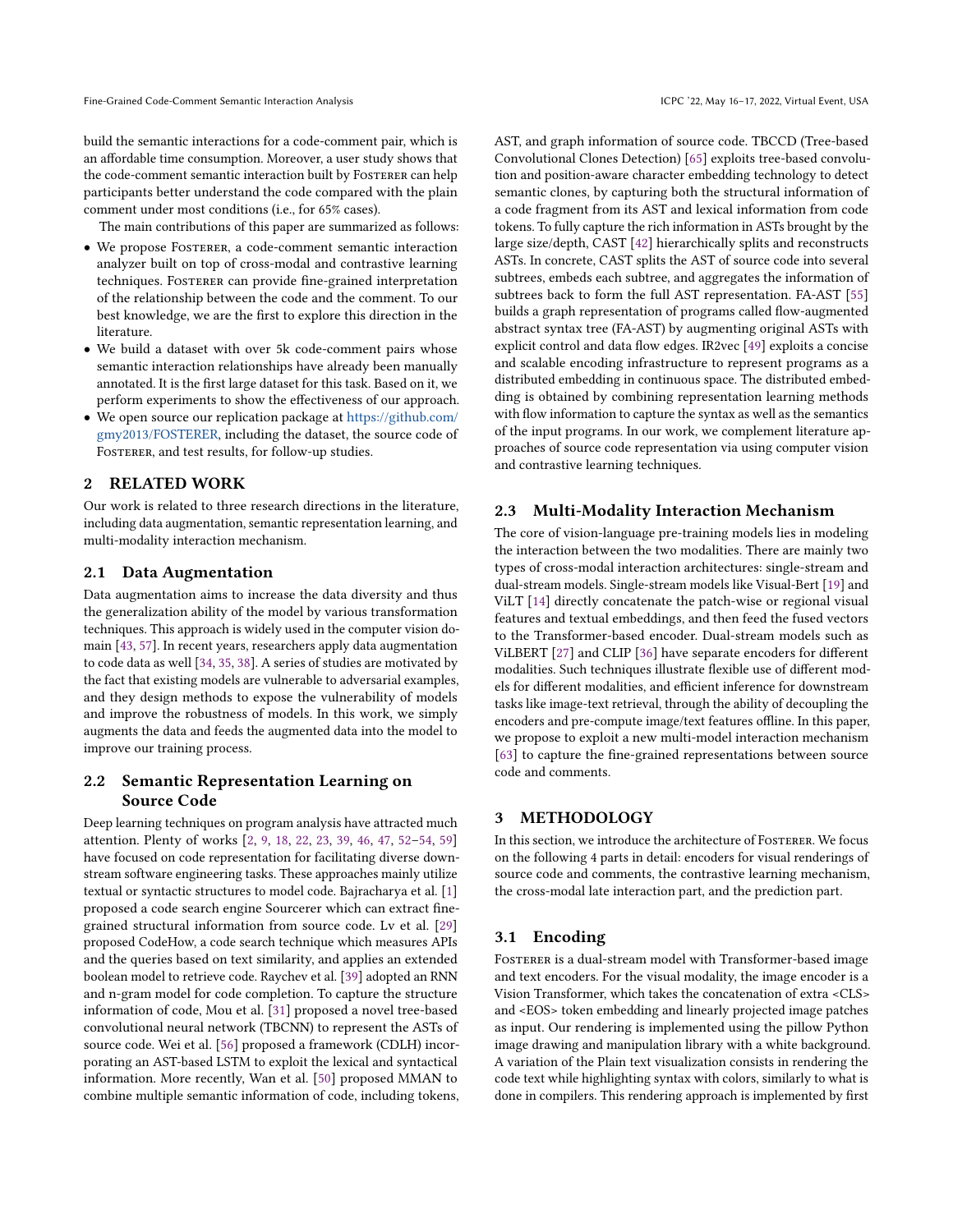build the semantic interactions for a code-comment pair, which is an affordable time consumption. Moreover, a user study shows that the code-comment semantic interaction built by FOSTERER can help participants better understand the code compared with the plain comment under most conditions (i.e., for 65% cases).

The main contributions of this paper are summarized as follows:

- We propose Fosterer, a code-comment semantic interaction analyzer built on top of cross-modal and contrastive learning techniques. FOSTERER can provide fine-grained interpretation of the relationship between the code and the comment. To our best knowledge, we are the first to explore this direction in the literature.
- We build a dataset with over 5k code-comment pairs whose semantic interaction relationships have already been manually annotated. It is the first large dataset for this task. Based on it, we perform experiments to show the effectiveness of our approach.
- We open source our replication package at [https://github.com/](https://github.com/gmy2013/FOSTERER) [gmy2013/FOSTERER,](https://github.com/gmy2013/FOSTERER) including the dataset, the source code of FOSTERER, and test results, for follow-up studies.

# 2 RELATED WORK

Our work is related to three research directions in the literature, including data augmentation, semantic representation learning, and multi-modality interaction mechanism.

# 2.1 Data Augmentation

Data augmentation aims to increase the data diversity and thus the generalization ability of the model by various transformation techniques. This approach is widely used in the computer vision domain [\[43,](#page-10-15) [57\]](#page-11-7). In recent years, researchers apply data augmentation to code data as well [\[34,](#page-10-16) [35,](#page-10-17) [38\]](#page-10-18). A series of studies are motivated by the fact that existing models are vulnerable to adversarial examples, and they design methods to expose the vulnerability of models and improve the robustness of models. In this work, we simply augments the data and feeds the augmented data into the model to improve our training process.

# 2.2 Semantic Representation Learning on Source Code

Deep learning techniques on program analysis have attracted much attention. Plenty of works [\[2,](#page-10-19) [9,](#page-10-20) [18,](#page-10-21) [22,](#page-10-22) [23,](#page-10-23) [39,](#page-10-24) [46,](#page-10-25) [47,](#page-10-26) [52](#page-11-8)[–54,](#page-11-9) [59\]](#page-11-10) have focused on code representation for facilitating diverse downstream software engineering tasks. These approaches mainly utilize textual or syntactic structures to model code. Bajracharya et al. [\[1\]](#page-10-27) proposed a code search engine Sourcerer which can extract finegrained structural information from source code. Lv et al. [\[29\]](#page-10-28) proposed CodeHow, a code search technique which measures APIs and the queries based on text similarity, and applies an extended boolean model to retrieve code. Raychev et al. [\[39\]](#page-10-24) adopted an RNN and n-gram model for code completion. To capture the structure information of code, Mou et al. [\[31\]](#page-10-29) proposed a novel tree-based convolutional neural network (TBCNN) to represent the ASTs of source code. Wei et al. [\[56\]](#page-11-11) proposed a framework (CDLH) incorporating an AST-based LSTM to exploit the lexical and syntactical information. More recently, Wan et al. [\[50\]](#page-11-12) proposed MMAN to combine multiple semantic information of code, including tokens, AST, and graph information of source code. TBCCD (Tree-based Convolutional Clones Detection) [\[65\]](#page-11-13) exploits tree-based convolution and position-aware character embedding technology to detect semantic clones, by capturing both the structural information of a code fragment from its AST and lexical information from code tokens. To fully capture the rich information in ASTs brought by the large size/depth, CAST [\[42\]](#page-10-30) hierarchically splits and reconstructs ASTs. In concrete, CAST splits the AST of source code into several subtrees, embeds each subtree, and aggregates the information of subtrees back to form the full AST representation. FA-AST [\[55\]](#page-11-14) builds a graph representation of programs called flow-augmented abstract syntax tree (FA-AST) by augmenting original ASTs with explicit control and data flow edges. IR2vec [\[49\]](#page-11-15) exploits a concise and scalable encoding infrastructure to represent programs as a distributed embedding in continuous space. The distributed embedding is obtained by combining representation learning methods with flow information to capture the syntax as well as the semantics of the input programs. In our work, we complement literature approaches of source code representation via using computer vision and contrastive learning techniques.

## 2.3 Multi-Modality Interaction Mechanism

The core of vision-language pre-training models lies in modeling the interaction between the two modalities. There are mainly two types of cross-modal interaction architectures: single-stream and dual-stream models. Single-stream models like Visual-Bert [\[19\]](#page-10-31) and ViLT [\[14\]](#page-10-32) directly concatenate the patch-wise or regional visual features and textual embeddings, and then feed the fused vectors to the Transformer-based encoder. Dual-stream models such as ViLBERT [\[27\]](#page-10-33) and CLIP [\[36\]](#page-10-34) have separate encoders for different modalities. Such techniques illustrate flexible use of different models for different modalities, and efficient inference for downstream tasks like image-text retrieval, through the ability of decoupling the encoders and pre-compute image/text features offline. In this paper, we propose to exploit a new multi-model interaction mechanism [\[63\]](#page-11-16) to capture the fine-grained representations between source code and comments.

# 3 METHODOLOGY

In this section, we introduce the architecture of FOSTERER. We focus on the following 4 parts in detail: encoders for visual renderings of source code and comments, the contrastive learning mechanism, the cross-modal late interaction part, and the prediction part.

#### 3.1 Encoding

FOSTERER is a dual-stream model with Transformer-based image and text encoders. For the visual modality, the image encoder is a Vision Transformer, which takes the concatenation of extra <CLS> and <EOS> token embedding and linearly projected image patches as input. Our rendering is implemented using the pillow Python image drawing and manipulation library with a white background. A variation of the Plain text visualization consists in rendering the code text while highlighting syntax with colors, similarly to what is done in compilers. This rendering approach is implemented by first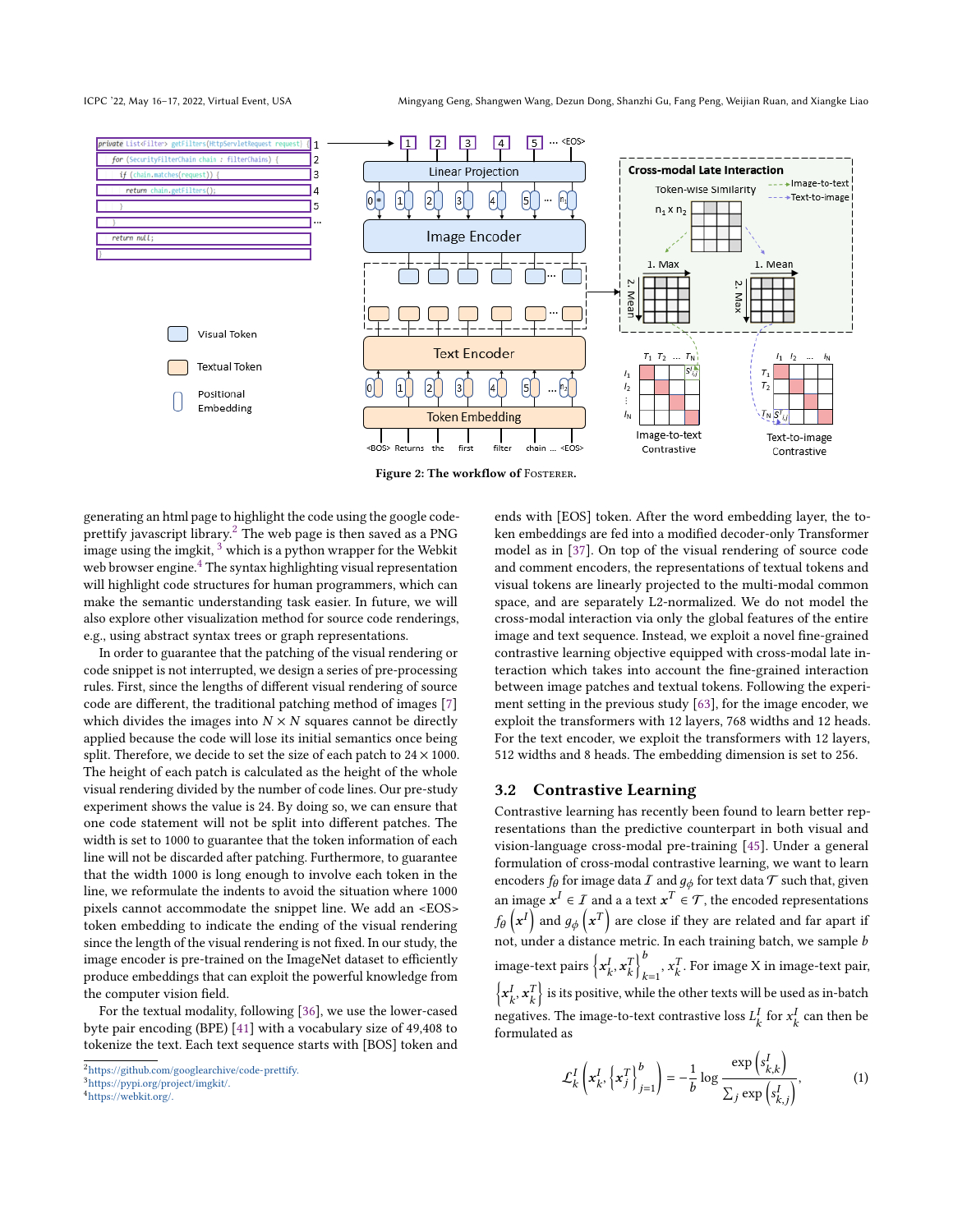ICPC '22, May 16–17, 2022, Virtual Event, USA Mingyang Geng, Shangwen Wang, Dezun Dong, Shanzhi Gu, Fang Peng, Weijian Ruan, and Xiangke Liao



Figure 2: The workflow of FOSTERER.

generating an html page to highlight the code using the google codeprettify javascript library.[2](#page-0-0) The web page is then saved as a PNG image using the imgkit,  $3$  which is a python wrapper for the Webkit web browser engine.<sup>[4](#page-0-0)</sup> The syntax highlighting visual representation will highlight code structures for human programmers, which can make the semantic understanding task easier. In future, we will also explore other visualization method for source code renderings, e.g., using abstract syntax trees or graph representations.

In order to guarantee that the patching of the visual rendering or code snippet is not interrupted, we design a series of pre-processing rules. First, since the lengths of different visual rendering of source code are different, the traditional patching method of images [\[7\]](#page-10-35) which divides the images into  $N \times N$  squares cannot be directly applied because the code will lose its initial semantics once being split. Therefore, we decide to set the size of each patch to  $24 \times 1000$ . The height of each patch is calculated as the height of the whole visual rendering divided by the number of code lines. Our pre-study experiment shows the value is 24. By doing so, we can ensure that one code statement will not be split into different patches. The width is set to 1000 to guarantee that the token information of each line will not be discarded after patching. Furthermore, to guarantee that the width 1000 is long enough to involve each token in the line, we reformulate the indents to avoid the situation where 1000 pixels cannot accommodate the snippet line. We add an <EOS> token embedding to indicate the ending of the visual rendering since the length of the visual rendering is not fixed. In our study, the image encoder is pre-trained on the ImageNet dataset to efficiently produce embeddings that can exploit the powerful knowledge from the computer vision field.

For the textual modality, following [\[36\]](#page-10-34), we use the lower-cased byte pair encoding (BPE) [\[41\]](#page-10-36) with a vocabulary size of 49,408 to tokenize the text. Each text sequence starts with [BOS] token and

ends with [EOS] token. After the word embedding layer, the token embeddings are fed into a modified decoder-only Transformer model as in [\[37\]](#page-10-37). On top of the visual rendering of source code and comment encoders, the representations of textual tokens and visual tokens are linearly projected to the multi-modal common space, and are separately L2-normalized. We do not model the cross-modal interaction via only the global features of the entire image and text sequence. Instead, we exploit a novel fine-grained contrastive learning objective equipped with cross-modal late interaction which takes into account the fine-grained interaction between image patches and textual tokens. Following the experiment setting in the previous study [\[63\]](#page-11-16), for the image encoder, we exploit the transformers with 12 layers, 768 widths and 12 heads. For the text encoder, we exploit the transformers with 12 layers, 512 widths and 8 heads. The embedding dimension is set to 256.

#### 3.2 Contrastive Learning

Contrastive learning has recently been found to learn better representations than the predictive counterpart in both visual and vision-language cross-modal pre-training [\[45\]](#page-10-38). Under a general formulation of cross-modal contrastive learning, we want to learn encoders  $f_\theta$  for image data  $I$  and  $g_\phi$  for text data  $\mathcal T$  such that, given an image  $x^I \in \mathcal{I}$  and a a text  $x^T \in \mathcal{T}$ , the encoded representations  $f_\theta\left(\textbf{x}^{I}\right)$  and  $g_\phi\left(\textbf{x}^{T}\right)$  are close if they are related and far apart if not, under a distance metric. In each training batch, we sample  $b$ image-text pairs  $\left\{x_k^I, x_k^T\right\}_{k=1}^b$  $\sum_{k=1}^{b}$ ,  $x_k^T$ . For image X in image-text pair,  $\left\{\mathbf{x}_k^I,\mathbf{x}_k^T\right\}$  is its positive, while the other texts will be used as in-batch negatives. The image-to-text contrastive loss  $L_k^I$  for  $x_k^I$  can then be formulated as

$$
\mathcal{L}_{k}^{I}\left(\mathbf{x}_{k}^{I},\left\{\mathbf{x}_{j}^{T}\right\}_{j=1}^{b}\right)=-\frac{1}{b}\log\frac{\exp\left(s_{k,k}^{I}\right)}{\sum_{j}\exp\left(s_{k,j}^{I}\right)},\tag{1}
$$

<sup>2</sup><https://github.com/googlearchive/code-prettify.>

<sup>3</sup><https://pypi.org/project/imgkit/.>

<sup>4</sup><https://webkit.org/.>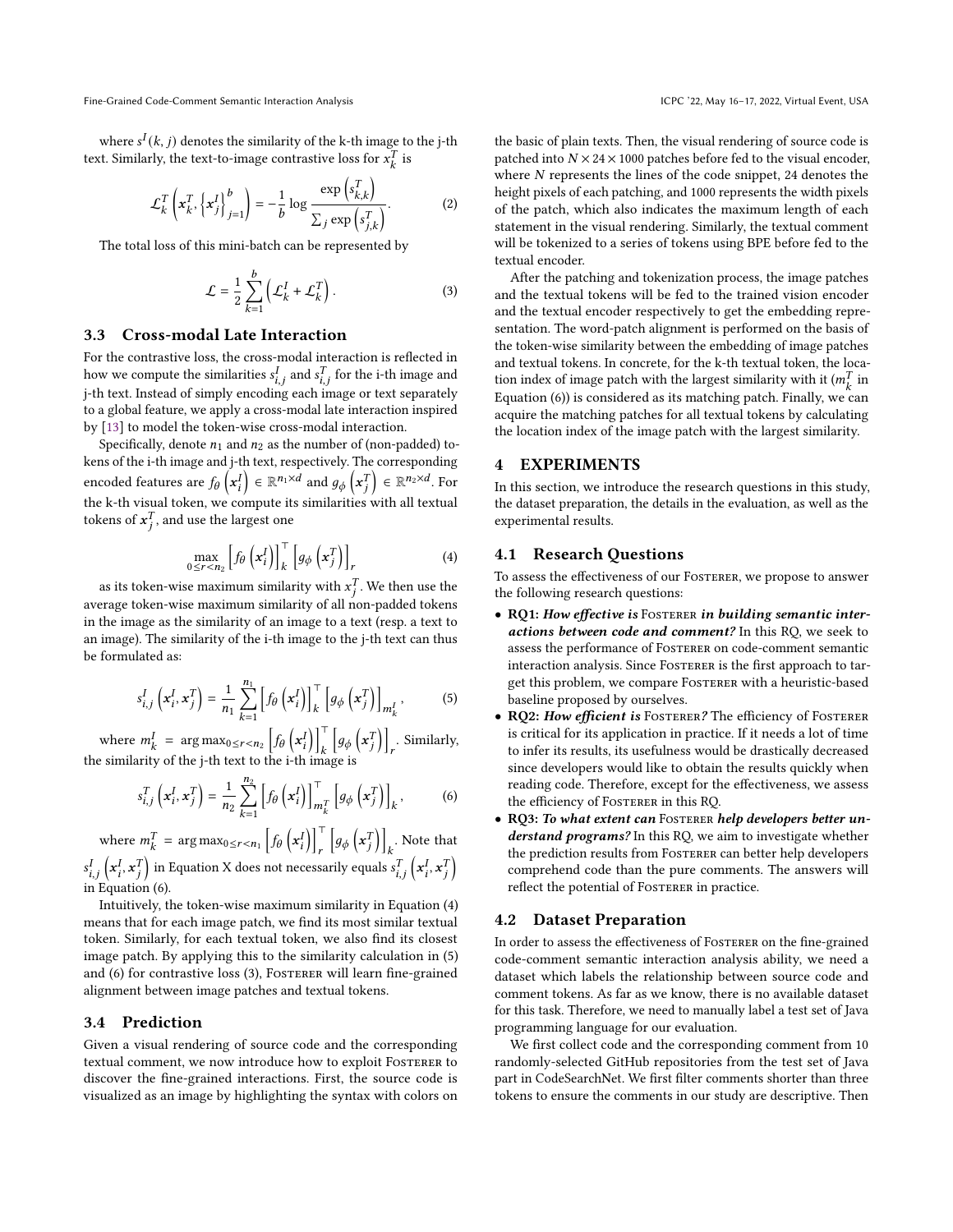where  $s^I(k, j)$  denotes the similarity of the k-th image to the j-th text. Similarly, the text-to-image contrastive loss for  $x_k^T$  is

$$
\mathcal{L}_k^T \left( \mathbf{x}_k^T, \left\{ \mathbf{x}_j^T \right\}_{j=1}^b \right) = -\frac{1}{b} \log \frac{\exp \left( s_{k,k}^T \right)}{\sum_j \exp \left( s_{j,k}^T \right)}.
$$
 (2)

The total loss of this mini-batch can be represented by

$$
\mathcal{L} = \frac{1}{2} \sum_{k=1}^{b} \left( \mathcal{L}_k^I + \mathcal{L}_k^T \right). \tag{3}
$$

#### 3.3 Cross-modal Late Interaction

For the contrastive loss, the cross-modal interaction is reflected in how we compute the similarities  $s_{i,j}^I$  and  $s_{i,j}^T$  for the i-th image and j-th text. Instead of simply encoding each image or text separately to a global feature, we apply a cross-modal late interaction inspired by [\[13\]](#page-10-39) to model the token-wise cross-modal interaction.

Specifically, denote  $n_1$  and  $n_2$  as the number of (non-padded) tokens of the i-th image and j-th text, respectively. The corresponding encoded features are  $f_\theta\left(x^I_i\right) \in \mathbb{R}^{n_1 \times d}$  and  $g_\phi\left(x^T_i\right) \in \mathbb{R}^{n_2 \times d}$ . For the k-th visual token, we compute its similarities with all textual tokens of  $x_j^T$ , and use the largest one

$$
\max_{0 \le r < n_2} \left[ f_\theta \left( \mathbf{x}_i^I \right) \right]_k^\top \left[ g_\phi \left( \mathbf{x}_j^T \right) \right]_r \tag{4}
$$

as its token-wise maximum similarity with  $x_i^T$ . We then use the average token-wise maximum similarity of all non-padded tokens in the image as the similarity of an image to a text (resp. a text to an image). The similarity of the i-th image to the j-th text can thus be formulated as:

$$
s_{i,j}^I\left(\mathbf{x}_i^I,\mathbf{x}_j^T\right) = \frac{1}{n_1} \sum_{k=1}^{n_1} \left[ f_\theta\left(\mathbf{x}_i^I\right) \right]_k^\top \left[ g_\phi\left(\mathbf{x}_j^T\right) \right]_{m_k^I},\tag{5}
$$

where  $m_k^I = \arg \max_{0 \le r < n_2} \left[ f_\theta \left( \mathbf{x}_i^I \right) \right]_k^\top$  $\overline{k}$  $\left[g_{\phi}\left(\mathbf{x}_i^T\right)\right]$ . Similarly, the similarity of the j-th text to the i-th image is

$$
s_{i,j}^T\left(\mathbf{x}_i^I,\mathbf{x}_j^T\right) = \frac{1}{n_2} \sum_{k=1}^{n_2} \left[ f_\theta\left(\mathbf{x}_i^I\right) \right]_{m_k^T}^\top \left[ g_\phi\left(\mathbf{x}_j^T\right) \right]_k, \tag{6}
$$

where  $m_k^T = \arg \max_{0 \le r < n_1} \left[ f_\theta \left( \mathbf{x}_i^T \right) \right]_+^T$  $\overline{r}$  $\left[g_{\phi}\left(x_{i}^{T}\right)\right]$  $\,k$ . Note that  $s_{i,j}^I\left(\pmb{x}_i^I, \pmb{x}_j^T\right)$  in Equation X does not necessarily equals  $s_{i,j}^T\left(\pmb{x}_i^I, \pmb{x}_j^T\right)$ in Equation (6).

Intuitively, the token-wise maximum similarity in Equation (4) means that for each image patch, we find its most similar textual token. Similarly, for each textual token, we also find its closest image patch. By applying this to the similarity calculation in (5) and (6) for contrastive loss (3), FOSTERER will learn fine-grained alignment between image patches and textual tokens.

#### 3.4 Prediction

Given a visual rendering of source code and the corresponding textual comment, we now introduce how to exploit Fosterer to discover the fine-grained interactions. First, the source code is visualized as an image by highlighting the syntax with colors on the basic of plain texts. Then, the visual rendering of source code is patched into  $N \times 24 \times 1000$  patches before fed to the visual encoder, where  $N$  represents the lines of the code snippet, 24 denotes the height pixels of each patching, and 1000 represents the width pixels of the patch, which also indicates the maximum length of each statement in the visual rendering. Similarly, the textual comment will be tokenized to a series of tokens using BPE before fed to the textual encoder.

After the patching and tokenization process, the image patches and the textual tokens will be fed to the trained vision encoder and the textual encoder respectively to get the embedding representation. The word-patch alignment is performed on the basis of the token-wise similarity between the embedding of image patches and textual tokens. In concrete, for the k-th textual token, the location index of image patch with the largest similarity with it ( $m_k^T$  in Equation (6)) is considered as its matching patch. Finally, we can acquire the matching patches for all textual tokens by calculating the location index of the image patch with the largest similarity.

#### 4 EXPERIMENTS

In this section, we introduce the research questions in this study, the dataset preparation, the details in the evaluation, as well as the experimental results.

### 4.1 Research Questions

To assess the effectiveness of our Fosterer, we propose to answer the following research questions:

- RQ1: How effective is FOSTERER in building semantic interactions between code and comment? In this RQ, we seek to assess the performance of Fosterer on code-comment semantic interaction analysis. Since FOSTERER is the first approach to target this problem, we compare Fosterer with a heuristic-based baseline proposed by ourselves.
- RQ2: How efficient is FOSTERER? The efficiency of FOSTERER is critical for its application in practice. If it needs a lot of time to infer its results, its usefulness would be drastically decreased since developers would like to obtain the results quickly when reading code. Therefore, except for the effectiveness, we assess the efficiency of Fosterer in this RQ.
- RQ3: To what extent can FOSTERER help developers better understand programs? In this RQ, we aim to investigate whether the prediction results from FOSTERER can better help developers comprehend code than the pure comments. The answers will reflect the potential of FOSTERER in practice.

#### 4.2 Dataset Preparation

In order to assess the effectiveness of Fosterer on the fine-grained code-comment semantic interaction analysis ability, we need a dataset which labels the relationship between source code and comment tokens. As far as we know, there is no available dataset for this task. Therefore, we need to manually label a test set of Java programming language for our evaluation.

We first collect code and the corresponding comment from 10 randomly-selected GitHub repositories from the test set of Java part in CodeSearchNet. We first filter comments shorter than three tokens to ensure the comments in our study are descriptive. Then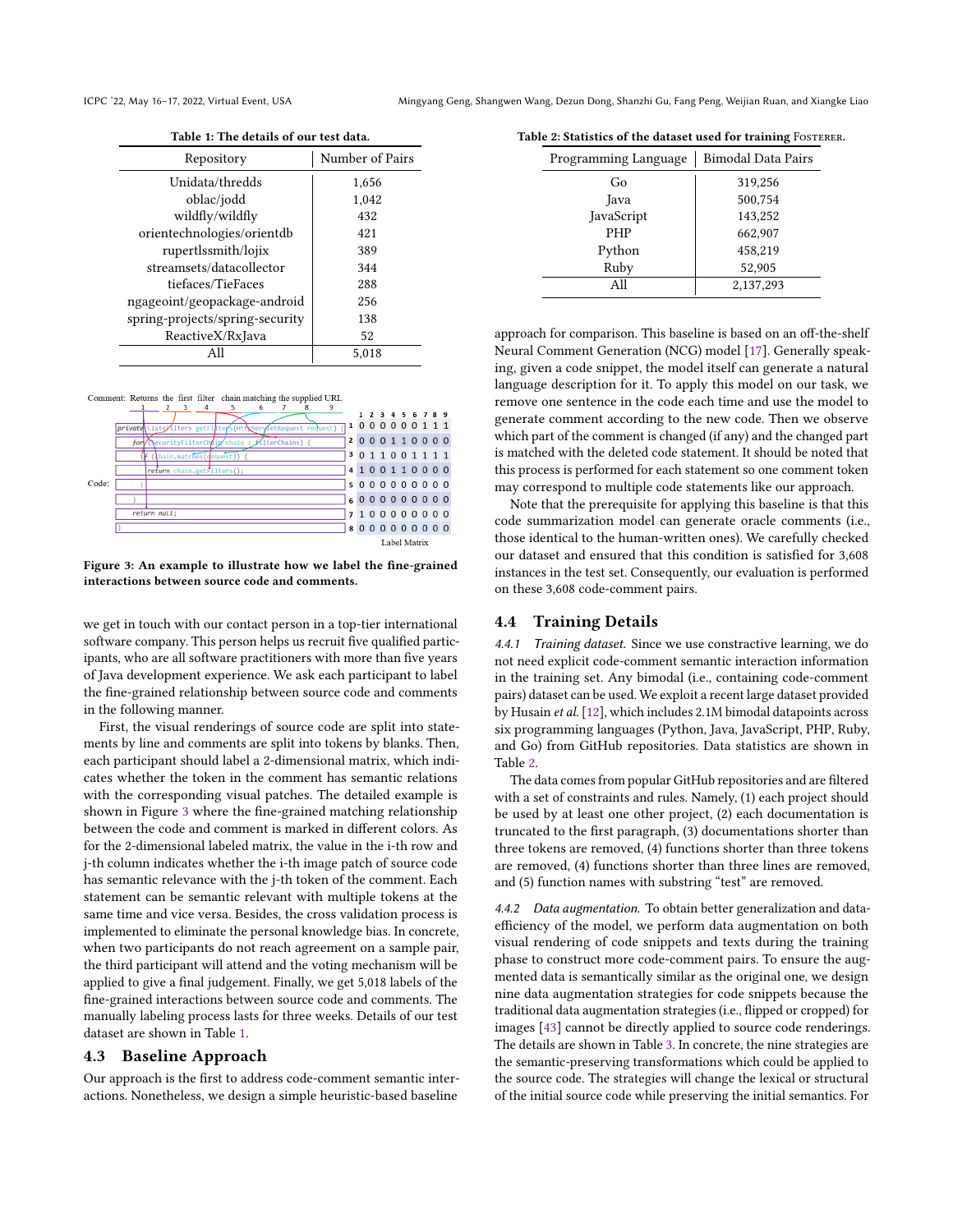<span id="page-5-1"></span>

| Table 1: The details of our test data. |                 |  |  |
|----------------------------------------|-----------------|--|--|
| Repository                             | Number of Pairs |  |  |
| Unidata/thredds                        | 1,656           |  |  |
| oblac/jodd                             | 1,042           |  |  |
| wildfly/wildfly                        | 432             |  |  |
| orientechnologies/orientdb             | 421             |  |  |
| rupertlssmith/lojix                    | 389             |  |  |
| streamsets/datacollector               | 344             |  |  |
| tiefaces/TieFaces                      | 288             |  |  |
| ngageoint/geopackage-android           | 256             |  |  |
| spring-projects/spring-security        | 138             |  |  |
| ReactiveX/RxJava                       | 52              |  |  |
|                                        | 5.018           |  |  |

<span id="page-5-0"></span>Comment: Returns the first filter chain matching the supplied URL



Figure 3: An example to illustrate how we label the fine-grained interactions between source code and comments.

we get in touch with our contact person in a top-tier international software company. This person helps us recruit five qualified participants, who are all software practitioners with more than five years of Java development experience. We ask each participant to label the fine-grained relationship between source code and comments in the following manner.

First, the visual renderings of source code are split into statements by line and comments are split into tokens by blanks. Then, each participant should label a 2-dimensional matrix, which indicates whether the token in the comment has semantic relations with the corresponding visual patches. The detailed example is shown in Figure [3](#page-5-0) where the fine-grained matching relationship between the code and comment is marked in different colors. As for the 2-dimensional labeled matrix, the value in the i-th row and j-th column indicates whether the i-th image patch of source code has semantic relevance with the j-th token of the comment. Each statement can be semantic relevant with multiple tokens at the same time and vice versa. Besides, the cross validation process is implemented to eliminate the personal knowledge bias. In concrete, when two participants do not reach agreement on a sample pair, the third participant will attend and the voting mechanism will be applied to give a final judgement. Finally, we get 5,018 labels of the fine-grained interactions between source code and comments. The manually labeling process lasts for three weeks. Details of our test dataset are shown in Table [1.](#page-5-1)

#### 4.3 Baseline Approach

Our approach is the first to address code-comment semantic interactions. Nonetheless, we design a simple heuristic-based baseline

<span id="page-5-2"></span>

| Table 2: Statistics of the dataset used for training FOSTERER. |  |  |  |
|----------------------------------------------------------------|--|--|--|
|----------------------------------------------------------------|--|--|--|

| <b>Programming Language</b> | <b>Bimodal Data Pairs</b> |  |
|-----------------------------|---------------------------|--|
| Go                          | 319,256                   |  |
| Java                        | 500,754                   |  |
| JavaScript                  | 143,252                   |  |
| <b>PHP</b>                  | 662,907                   |  |
| Python                      | 458,219                   |  |
| Ruby                        | 52,905                    |  |
| All                         | 2,137,293                 |  |

approach for comparison. This baseline is based on an off-the-shelf Neural Comment Generation (NCG) model [\[17\]](#page-10-40). Generally speaking, given a code snippet, the model itself can generate a natural language description for it. To apply this model on our task, we remove one sentence in the code each time and use the model to generate comment according to the new code. Then we observe which part of the comment is changed (if any) and the changed part is matched with the deleted code statement. It should be noted that this process is performed for each statement so one comment token may correspond to multiple code statements like our approach.

Note that the prerequisite for applying this baseline is that this code summarization model can generate oracle comments (i.e., those identical to the human-written ones). We carefully checked our dataset and ensured that this condition is satisfied for 3,608 instances in the test set. Consequently, our evaluation is performed on these 3,608 code-comment pairs.

# 4.4 Training Details

4.4.1 Training dataset. Since we use constractive learning, we do not need explicit code-comment semantic interaction information in the training set. Any bimodal (i.e., containing code-comment pairs) dataset can be used. We exploit a recent large dataset provided by Husain et al. [\[12\]](#page-10-41), which includes 2.1M bimodal datapoints across six programming languages (Python, Java, JavaScript, PHP, Ruby, and Go) from GitHub repositories. Data statistics are shown in Table [2.](#page-5-2)

The data comes from popular GitHub repositories and are filtered with a set of constraints and rules. Namely, (1) each project should be used by at least one other project, (2) each documentation is truncated to the first paragraph, (3) documentations shorter than three tokens are removed, (4) functions shorter than three tokens are removed, (4) functions shorter than three lines are removed, and (5) function names with substring "test" are removed.

4.4.2 Data augmentation. To obtain better generalization and dataefficiency of the model, we perform data augmentation on both visual rendering of code snippets and texts during the training phase to construct more code-comment pairs. To ensure the augmented data is semantically similar as the original one, we design nine data augmentation strategies for code snippets because the traditional data augmentation strategies (i.e., flipped or cropped) for images [\[43\]](#page-10-15) cannot be directly applied to source code renderings. The details are shown in Table [3.](#page-6-0) In concrete, the nine strategies are the semantic-preserving transformations which could be applied to the source code. The strategies will change the lexical or structural of the initial source code while preserving the initial semantics. For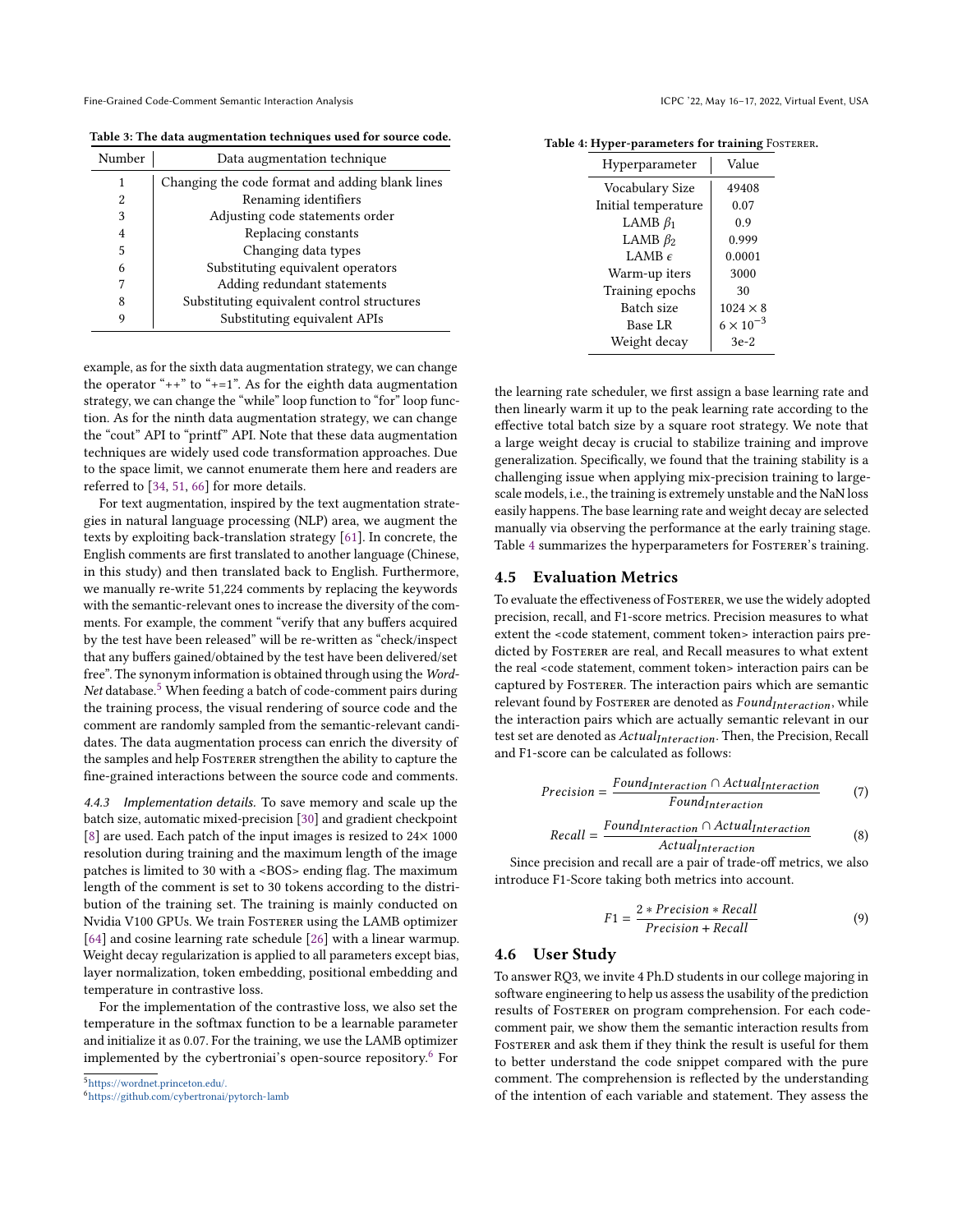<span id="page-6-0"></span>Table 3: The data augmentation techniques used for source code.

| Number         | Data augmentation technique                     |  |  |
|----------------|-------------------------------------------------|--|--|
| 1              | Changing the code format and adding blank lines |  |  |
| 2              | Renaming identifiers                            |  |  |
| 3              | Adjusting code statements order                 |  |  |
| $\overline{4}$ | Replacing constants                             |  |  |
| 5              | Changing data types                             |  |  |
| 6              | Substituting equivalent operators               |  |  |
| 7              | Adding redundant statements                     |  |  |
| 8              | Substituting equivalent control structures      |  |  |
|                | Substituting equivalent APIs                    |  |  |

example, as for the sixth data augmentation strategy, we can change the operator " $++$ " to " $+=1$ ". As for the eighth data augmentation strategy, we can change the "while" loop function to "for" loop function. As for the ninth data augmentation strategy, we can change the "cout" API to "printf" API. Note that these data augmentation techniques are widely used code transformation approaches. Due to the space limit, we cannot enumerate them here and readers are referred to [\[34,](#page-10-16) [51,](#page-11-5) [66\]](#page-11-17) for more details.

For text augmentation, inspired by the text augmentation strategies in natural language processing (NLP) area, we augment the texts by exploiting back-translation strategy [\[61\]](#page-11-6). In concrete, the English comments are first translated to another language (Chinese, in this study) and then translated back to English. Furthermore, we manually re-write 51,224 comments by replacing the keywords with the semantic-relevant ones to increase the diversity of the comments. For example, the comment "verify that any buffers acquired by the test have been released" will be re-written as "check/inspect that any buffers gained/obtained by the test have been delivered/set free". The synonym information is obtained through using the Word-Net database. $5$  When feeding a batch of code-comment pairs during the training process, the visual rendering of source code and the comment are randomly sampled from the semantic-relevant candidates. The data augmentation process can enrich the diversity of the samples and help FOSTERER strengthen the ability to capture the fine-grained interactions between the source code and comments.

4.4.3 Implementation details. To save memory and scale up the batch size, automatic mixed-precision [\[30\]](#page-10-42) and gradient checkpoint [\[8\]](#page-10-43) are used. Each patch of the input images is resized to 24× 1000 resolution during training and the maximum length of the image patches is limited to 30 with a <BOS> ending flag. The maximum length of the comment is set to 30 tokens according to the distribution of the training set. The training is mainly conducted on Nvidia V100 GPUs. We train Fosterer using the LAMB optimizer [\[64\]](#page-11-18) and cosine learning rate schedule [\[26\]](#page-10-44) with a linear warmup. Weight decay regularization is applied to all parameters except bias, layer normalization, token embedding, positional embedding and temperature in contrastive loss.

For the implementation of the contrastive loss, we also set the temperature in the softmax function to be a learnable parameter and initialize it as 0.07. For the training, we use the LAMB optimizer implemented by the cybertroniai's open-source repository.<sup>[6](#page-0-0)</sup> For

<sup>5</sup><https://wordnet.princeton.edu/.>

<sup>6</sup><https://github.com/cybertronai/pytorch-lamb>

| Hyperparameter      | Value              |
|---------------------|--------------------|
| Vocabulary Size     | 49408              |
| Initial temperature | 0.07               |
| LAMB $\beta_1$      | 0.9                |
| LAMB $\beta_2$      | 0.999              |
| LAMB $\epsilon$     | 0.0001             |
| Warm-up iters       | 3000               |
| Training epochs     | 30                 |
| Batch size          | $1024 \times 8$    |
| Base LR             | $6 \times 10^{-3}$ |
| Weight decay        | $3e-2$             |

<span id="page-6-1"></span>Table 4: Hyper-parameters for training FOSTERER.

the learning rate scheduler, we first assign a base learning rate and then linearly warm it up to the peak learning rate according to the effective total batch size by a square root strategy. We note that a large weight decay is crucial to stabilize training and improve generalization. Specifically, we found that the training stability is a challenging issue when applying mix-precision training to largescale models, i.e., the training is extremely unstable and the NaN loss easily happens. The base learning rate and weight decay are selected manually via observing the performance at the early training stage. Table [4](#page-6-1) summarizes the hyperparameters for FosTERER's training.

#### 4.5 Evaluation Metrics

To evaluate the effectiveness of FOSTERER, we use the widely adopted precision, recall, and F1-score metrics. Precision measures to what extent the <code statement, comment token> interaction pairs predicted by FOSTERER are real, and Recall measures to what extent the real <code statement, comment token> interaction pairs can be captured by Fosterer. The interaction pairs which are semantic relevant found by FOSTERER are denoted as  $\it Found_{Interaction}$ , while the interaction pairs which are actually semantic relevant in our test set are denoted as  $ActualInteraction$ . Then, the Precision, Recall and F1-score can be calculated as follows:

$$
Precision = \frac{Found_{Interaction} \cap Actual_{Interaction}}{Found_{Interaction}}
$$
 (7)

$$
Recall = \frac{Found_{Interaction} \cap Actual_{Interaction}}{Actual_{Interaction}}
$$
(8)

Since precision and recall are a pair of trade-off metrics, we also introduce F1-Score taking both metrics into account.

$$
F1 = \frac{2 * Precision * Recall}{Precision + Recall}
$$
(9)

#### 4.6 User Study

To answer RQ3, we invite 4 Ph.D students in our college majoring in software engineering to help us assess the usability of the prediction results of Fosterer on program comprehension. For each codecomment pair, we show them the semantic interaction results from FOSTERER and ask them if they think the result is useful for them to better understand the code snippet compared with the pure comment. The comprehension is reflected by the understanding of the intention of each variable and statement. They assess the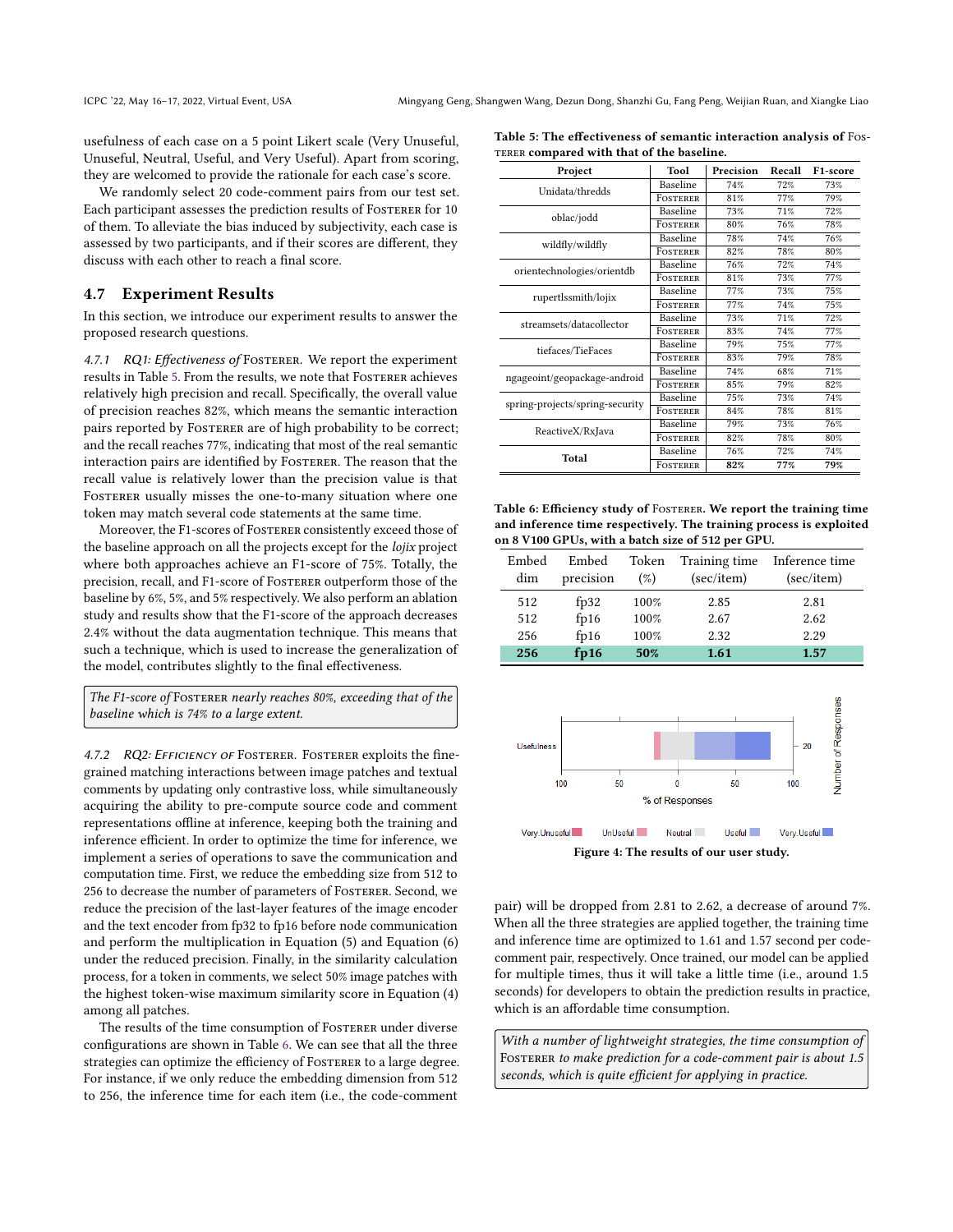usefulness of each case on a 5 point Likert scale (Very Unuseful, Unuseful, Neutral, Useful, and Very Useful). Apart from scoring, they are welcomed to provide the rationale for each case's score.

We randomly select 20 code-comment pairs from our test set. Each participant assesses the prediction results of FOSTERER for 10 of them. To alleviate the bias induced by subjectivity, each case is assessed by two participants, and if their scores are different, they discuss with each other to reach a final score.

#### 4.7 Experiment Results

In this section, we introduce our experiment results to answer the proposed research questions.

4.7.1 RQ1: Effectiveness of FOSTERER. We report the experiment results in Table [5.](#page-7-0) From the results, we note that FOSTERER achieves relatively high precision and recall. Specifically, the overall value of precision reaches 82%, which means the semantic interaction pairs reported by FOSTERER are of high probability to be correct; and the recall reaches 77%, indicating that most of the real semantic interaction pairs are identified by FOSTERER. The reason that the recall value is relatively lower than the precision value is that FOSTERER usually misses the one-to-many situation where one token may match several code statements at the same time.

Moreover, the F1-scores of Fosterer consistently exceed those of the baseline approach on all the projects except for the lojix project where both approaches achieve an F1-score of 75%. Totally, the precision, recall, and F1-score of Fosterer outperform those of the baseline by 6%, 5%, and 5% respectively. We also perform an ablation study and results show that the F1-score of the approach decreases 2.4% without the data augmentation technique. This means that such a technique, which is used to increase the generalization of the model, contributes slightly to the final effectiveness.

The F1-score of FOSTERER nearly reaches 80%, exceeding that of the baseline which is 74% to a large extent.

4.7.2 RQ2: EFFICIENCY OF FOSTERER. FOSTERER exploits the finegrained matching interactions between image patches and textual comments by updating only contrastive loss, while simultaneously acquiring the ability to pre-compute source code and comment representations offline at inference, keeping both the training and inference efficient. In order to optimize the time for inference, we implement a series of operations to save the communication and computation time. First, we reduce the embedding size from 512 to 256 to decrease the number of parameters of Fosterer. Second, we reduce the precision of the last-layer features of the image encoder and the text encoder from fp32 to fp16 before node communication and perform the multiplication in Equation (5) and Equation (6) under the reduced precision. Finally, in the similarity calculation process, for a token in comments, we select 50% image patches with the highest token-wise maximum similarity score in Equation (4) among all patches.

The results of the time consumption of FOSTERER under diverse configurations are shown in Table [6.](#page-7-1) We can see that all the three strategies can optimize the efficiency of FOSTERER to a large degree. For instance, if we only reduce the embedding dimension from 512 to 256, the inference time for each item (i.e., the code-comment

<span id="page-7-0"></span>

| Table 5: The effectiveness of semantic interaction analysis of Fos- |  |
|---------------------------------------------------------------------|--|
| TERER compared with that of the baseline.                           |  |

| Project                         | Tool            | Precision | Recall | F <sub>1</sub> -score |
|---------------------------------|-----------------|-----------|--------|-----------------------|
| Unidata/thredds                 | Baseline        | 74%       | 72%    | 73%                   |
|                                 | FOSTERER        | 81%       | 77%    | 79%                   |
| oblac/jodd                      | Baseline        | 73%       | 71%    | 72%                   |
|                                 | <b>FOSTERER</b> | 80%       | 76%    | 78%                   |
| wildfly/wildfly                 | Baseline        | 78%       | 74%    | 76%                   |
|                                 | FOSTERER        | 82%       | 78%    | 80%                   |
| orientechnologies/orientdb      | Baseline        | 76%       | 72%    | 74%                   |
|                                 | FOSTERER        | 81%       | 73%    | 77%                   |
|                                 | Baseline        | 77%       | 73%    | 75%                   |
| rupertlssmith/lojix             | FOSTERER        | 77%       | 74%    | 75%                   |
| streamsets/datacollector        | Baseline        | 73%       | 71%    | 72%                   |
|                                 | FOSTERER        | 83%       | 74%    | 77%                   |
| tiefaces/TieFaces               | Baseline        | 79%       | 75%    | 77%                   |
|                                 | FOSTERER        | 83%       | 79%    | 78%                   |
| ngageoint/geopackage-android    | Baseline        | 74%       | 68%    | 71%                   |
|                                 | FOSTERER        | 85%       | 79%    | 82%                   |
| spring-projects/spring-security | Baseline        | 75%       | 73%    | 74%                   |
|                                 | <b>FOSTERER</b> | 84%       | 78%    | 81%                   |
|                                 | Baseline        | 79%       | 73%    | 76%                   |
| ReactiveX/RxJava                | FOSTERER        | 82%       | 78%    | 80%                   |
| Total                           | Baseline        | 76%       | 72%    | 74%                   |
|                                 | FOSTERER        | 82%       | 77%    | 79%                   |

<span id="page-7-1"></span>Table 6: Efficiency study of FOSTERER. We report the training time and inference time respectively. The training process is exploited on 8 V100 GPUs, with a batch size of 512 per GPU.

| Embed<br>dim | Embed<br>precision | Token<br>$($ %) | Training time<br>(sec/item) | Inference time<br>(sec/item) |
|--------------|--------------------|-----------------|-----------------------------|------------------------------|
| 512          | fp32               | 100%            | 2.85                        | 2.81                         |
| 512          | fp16               | 100%            | 2.67                        | 2.62                         |
| 256          | f <sub>p16</sub>   | 100%            | 2.32                        | 2.29                         |
| 256          | fp16               | 50%             | 1.61                        | 1.57                         |

<span id="page-7-2"></span>

pair) will be dropped from 2.81 to 2.62, a decrease of around 7%. When all the three strategies are applied together, the training time and inference time are optimized to 1.61 and 1.57 second per codecomment pair, respectively. Once trained, our model can be applied for multiple times, thus it will take a little time (i.e., around 1.5 seconds) for developers to obtain the prediction results in practice, which is an affordable time consumption.

With a number of lightweight strategies, the time consumption of FOSTERER to make prediction for a code-comment pair is about 1.5 seconds, which is quite efficient for applying in practice.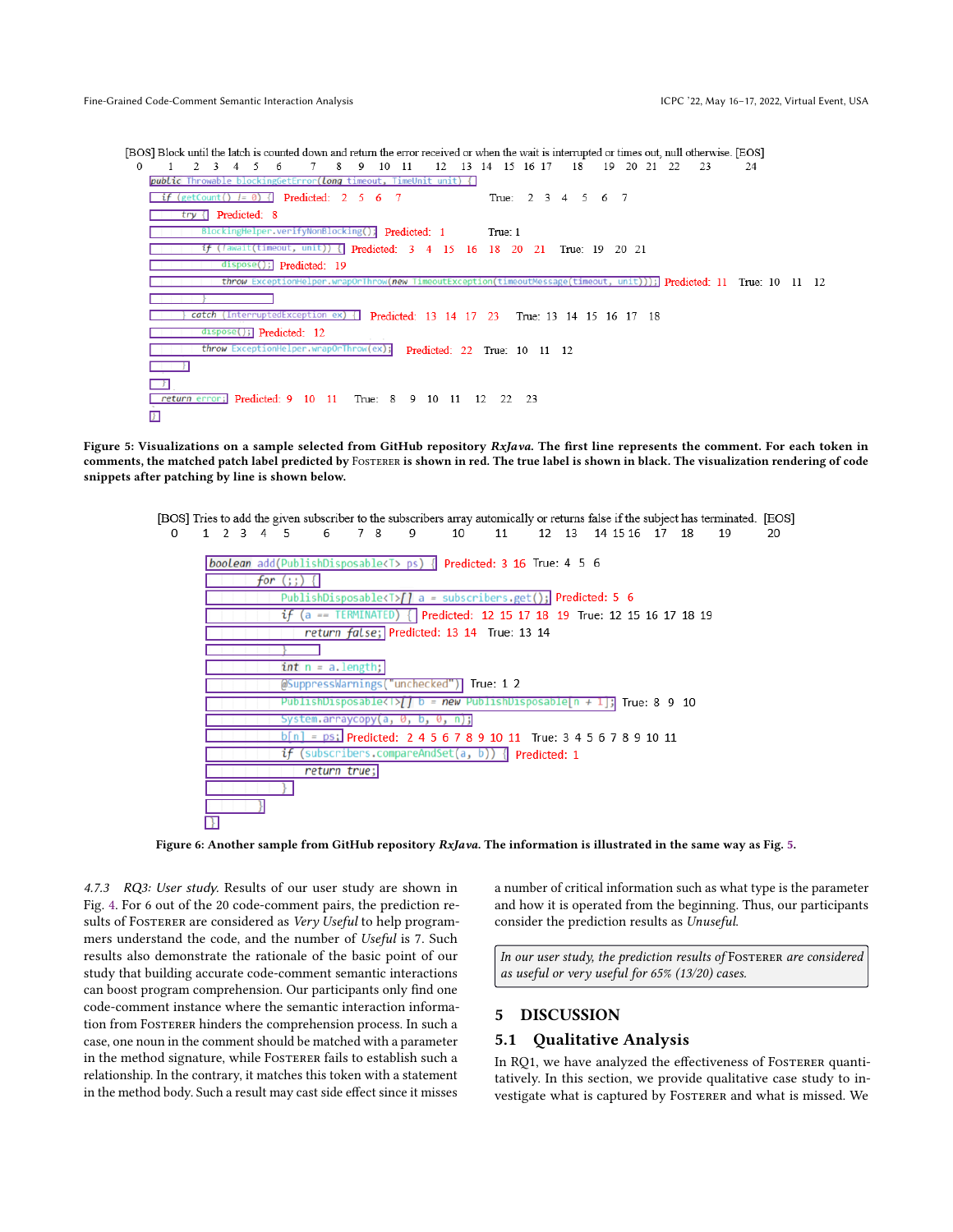<span id="page-8-0"></span>[BOS] Block until the latch is counted down and return the error received or when the wait is interrupted or times out, null otherwise. [EOS]

8 9 10 11 12 13 14 15 16 17 18 19 20 21 22  $\Omega$ 1  $2 \t3 \t4 \t5$ 6  $7^{\circ}$ - 23 24 *public* Throw ) { Long г if (getCount()  $l = 0$ ) { Predicted:  $\overline{2}$  $\overline{5}$ 6 True:  $2 \t3 \t4 \t5$ 6 7  $try$  [ Predicted: 8 BlockingHelper.verifyNonBlocking(); Predicted: 1 True: 1 if (lawait(timeout, unit)) { Predicted: 3  $\overline{4}$ 15 -16 18  $20$ 21 True: 19 20 21 dispose(); Predicted:  $19$ throw Excepti  $(i(t))$ ; Predicted: 11 True: 10 11 12 catch (InterruptedException ex) { Predicted: 13 14 17 23 True: 13 14 15 16 17 18 dispose(); Predicted: 12 throw ExceptionHelp  $\sqrt{(\text{ex})}$ Predicted: 22 True: 10 11 12 л J. г return error; Predicted: 9 10 11 True: 8 9 10 11 12 22 F.

<span id="page-8-1"></span>Figure 5: Visualizations on a sample selected from GitHub repository RxJava. The first line represents the comment. For each token in comments, the matched patch label predicted by Fosterer is shown in red. The true label is shown in black. The visualization rendering of code snippets after patching by line is shown below.

[BOS] Tries to add the given subscriber to the subscribers array automically or returns false if the subject has terminated. [EOS] 12 13 14 15 16 17 18  $\Omega$  $1 \t2 \t3 \t4 \t5$ 6 7 8  $\overline{9}$ 10 11 19  $20$ boolean add(PublishDisposable<T> ps) { Predicted: 3 16 True: 4 5 6 for  $($ ;;) { PublishDisposable<T> $\int$  a = subscribers.get(); Predicted: 5 6 if TERMINATED) { Predicted: 12 15 17 18 19 True: 12 15 16 17 18 19  $\epsilon$  $=$ return false; Predicted: 13 14 True: 13 14  $int_n = a.length$ : 'unchecked") True: 1 2 @SuppressWarnings  $\frac{1}{2}$ PublishDisposable<l> $\frac{1}{2}$  b = new PublishDisposable[n + 1]; True: 8 9 10 i.arraycopy(a, 0, b, 0, n);  $\frac{1}{2}$  = ps; Predicted: 2 4 5 6 7 8 9 10 11 True: 3 4 5 6 7 8 9 10 11  $if$  (subscribers.compareAndSet(a, b)) { Predicted: 1 return true; D.

Figure 6: Another sample from GitHub repository RxJava. The information is illustrated in the same way as Fig. [5.](#page-8-0)

4.7.3 RQ3: User study. Results of our user study are shown in Fig. [4.](#page-7-2) For 6 out of the 20 code-comment pairs, the prediction results of FOSTERER are considered as Very Useful to help programmers understand the code, and the number of Useful is 7. Such results also demonstrate the rationale of the basic point of our study that building accurate code-comment semantic interactions can boost program comprehension. Our participants only find one code-comment instance where the semantic interaction information from Fosterer hinders the comprehension process. In such a case, one noun in the comment should be matched with a parameter in the method signature, while FOSTERER fails to establish such a relationship. In the contrary, it matches this token with a statement in the method body. Such a result may cast side effect since it misses

a number of critical information such as what type is the parameter and how it is operated from the beginning. Thus, our participants consider the prediction results as Unuseful.

In our user study, the prediction results of FOSTERER are considered as useful or very useful for 65% (13/20) cases.

# 5 DISCUSSION

# 5.1 Qualitative Analysis

In RQ1, we have analyzed the effectiveness of FOSTERER quantitatively. In this section, we provide qualitative case study to investigate what is captured by FOSTERER and what is missed. We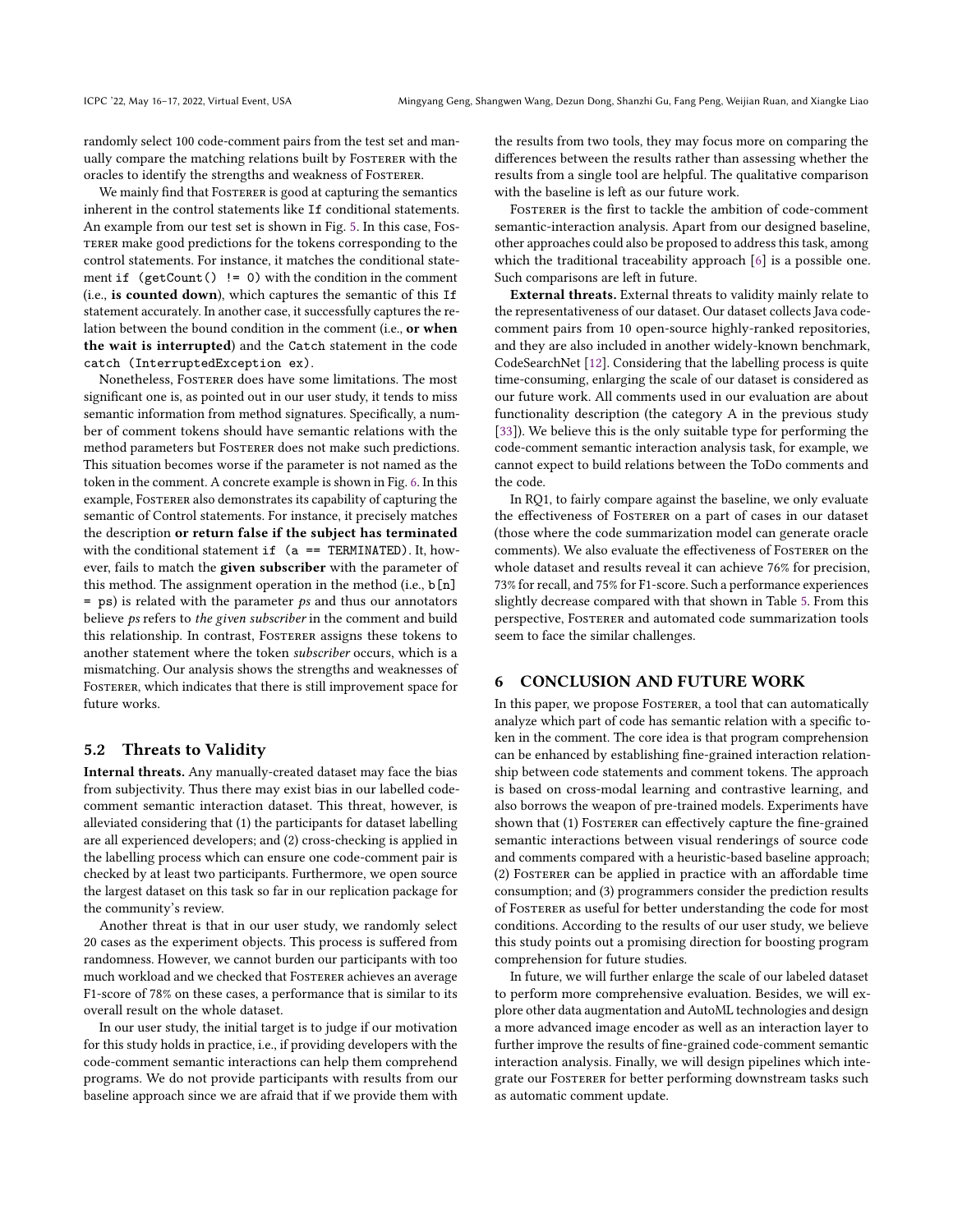randomly select 100 code-comment pairs from the test set and manually compare the matching relations built by FOSTERER with the oracles to identify the strengths and weakness of FOSTERER.

We mainly find that FOSTERER is good at capturing the semantics inherent in the control statements like If conditional statements. An example from our test set is shown in Fig. [5.](#page-8-0) In this case, Fos-TERER make good predictions for the tokens corresponding to the control statements. For instance, it matches the conditional statement if  $(getCount() != 0)$  with the condition in the comment (i.e., is counted down), which captures the semantic of this If statement accurately. In another case, it successfully captures the relation between the bound condition in the comment (i.e., or when the wait is interrupted) and the Catch statement in the code catch (InterruptedException ex).

Nonetheless, Fosterer does have some limitations. The most significant one is, as pointed out in our user study, it tends to miss semantic information from method signatures. Specifically, a number of comment tokens should have semantic relations with the method parameters but Foster and a most make such predictions. This situation becomes worse if the parameter is not named as the token in the comment. A concrete example is shown in Fig. [6.](#page-8-1) In this example, Fosterer also demonstrates its capability of capturing the semantic of Control statements. For instance, it precisely matches the description or return false if the subject has terminated with the conditional statement if  $(a == TERMINATED)$ . It, however, fails to match the given subscriber with the parameter of this method. The assignment operation in the method (i.e., b[n]  $=$  ps) is related with the parameter  $p_s$  and thus our annotators believe ps refers to the given subscriber in the comment and build this relationship. In contrast, FOSTERER assigns these tokens to another statement where the token subscriber occurs, which is a mismatching. Our analysis shows the strengths and weaknesses of FOSTERER, which indicates that there is still improvement space for future works.

### 5.2 Threats to Validity

Internal threats. Any manually-created dataset may face the bias from subjectivity. Thus there may exist bias in our labelled codecomment semantic interaction dataset. This threat, however, is alleviated considering that (1) the participants for dataset labelling are all experienced developers; and (2) cross-checking is applied in the labelling process which can ensure one code-comment pair is checked by at least two participants. Furthermore, we open source the largest dataset on this task so far in our replication package for the community's review.

Another threat is that in our user study, we randomly select 20 cases as the experiment objects. This process is suffered from randomness. However, we cannot burden our participants with too much workload and we checked that FOSTERER achieves an average F1-score of 78% on these cases, a performance that is similar to its overall result on the whole dataset.

In our user study, the initial target is to judge if our motivation for this study holds in practice, i.e., if providing developers with the code-comment semantic interactions can help them comprehend programs. We do not provide participants with results from our baseline approach since we are afraid that if we provide them with the results from two tools, they may focus more on comparing the differences between the results rather than assessing whether the results from a single tool are helpful. The qualitative comparison with the baseline is left as our future work.

Fosterer is the first to tackle the ambition of code-comment semantic-interaction analysis. Apart from our designed baseline, other approaches could also be proposed to address this task, among which the traditional traceability approach [\[6\]](#page-10-45) is a possible one. Such comparisons are left in future.

External threats. External threats to validity mainly relate to the representativeness of our dataset. Our dataset collects Java codecomment pairs from 10 open-source highly-ranked repositories, and they are also included in another widely-known benchmark, CodeSearchNet [\[12\]](#page-10-41). Considering that the labelling process is quite time-consuming, enlarging the scale of our dataset is considered as our future work. All comments used in our evaluation are about functionality description (the category A in the previous study [\[33\]](#page-10-46)). We believe this is the only suitable type for performing the code-comment semantic interaction analysis task, for example, we cannot expect to build relations between the ToDo comments and the code.

In RQ1, to fairly compare against the baseline, we only evaluate the effectiveness of FOSTERER on a part of cases in our dataset (those where the code summarization model can generate oracle comments). We also evaluate the effectiveness of FOSTERER on the whole dataset and results reveal it can achieve 76% for precision, 73% for recall, and 75% for F1-score. Such a performance experiences slightly decrease compared with that shown in Table [5.](#page-7-0) From this perspective, Fosterer and automated code summarization tools seem to face the similar challenges.

#### 6 CONCLUSION AND FUTURE WORK

In this paper, we propose FOSTERER, a tool that can automatically analyze which part of code has semantic relation with a specific token in the comment. The core idea is that program comprehension can be enhanced by establishing fine-grained interaction relationship between code statements and comment tokens. The approach is based on cross-modal learning and contrastive learning, and also borrows the weapon of pre-trained models. Experiments have shown that (1) FOSTERER can effectively capture the fine-grained semantic interactions between visual renderings of source code and comments compared with a heuristic-based baseline approach; (2) Fosterer can be applied in practice with an affordable time consumption; and (3) programmers consider the prediction results of Fosterer as useful for better understanding the code for most conditions. According to the results of our user study, we believe this study points out a promising direction for boosting program comprehension for future studies.

In future, we will further enlarge the scale of our labeled dataset to perform more comprehensive evaluation. Besides, we will explore other data augmentation and AutoML technologies and design a more advanced image encoder as well as an interaction layer to further improve the results of fine-grained code-comment semantic interaction analysis. Finally, we will design pipelines which integrate our Fosterer for better performing downstream tasks such as automatic comment update.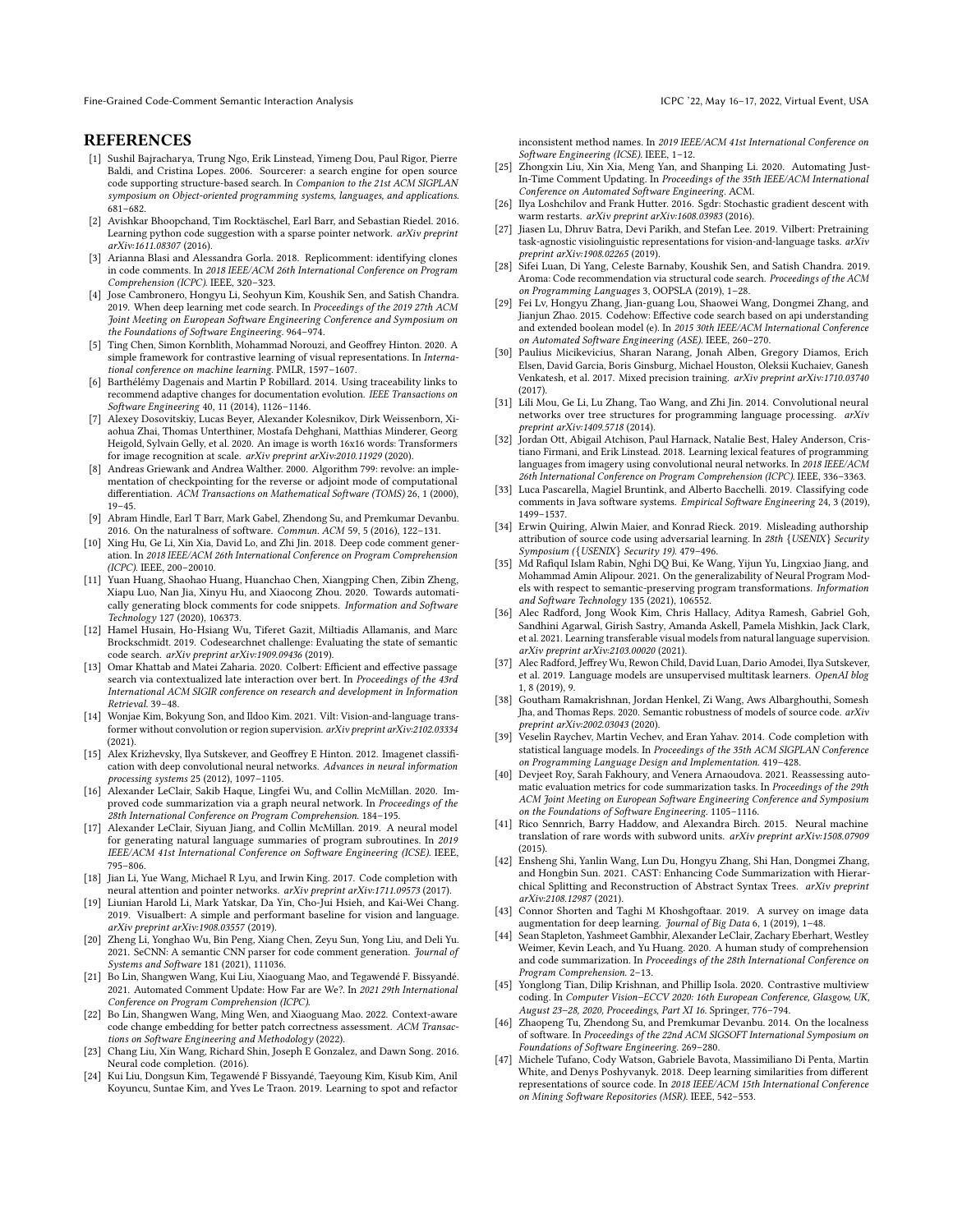#### REFERENCES

- <span id="page-10-27"></span>[1] Sushil Bajracharya, Trung Ngo, Erik Linstead, Yimeng Dou, Paul Rigor, Pierre Baldi, and Cristina Lopes. 2006. Sourcerer: a search engine for open source code supporting structure-based search. In Companion to the 21st ACM SIGPLAN symposium on Object-oriented programming systems, languages, and applications. 681–682.
- <span id="page-10-19"></span>[2] Avishkar Bhoopchand, Tim Rocktäschel, Earl Barr, and Sebastian Riedel. 2016. Learning python code suggestion with a sparse pointer network. arXiv preprint arXiv:1611.08307 (2016).
- <span id="page-10-0"></span>[3] Arianna Blasi and Alessandra Gorla. 2018. Replicomment: identifying clones in code comments. In 2018 IEEE/ACM 26th International Conference on Program Comprehension (ICPC). IEEE, 320–323.
- <span id="page-10-8"></span>[4] Jose Cambronero, Hongyu Li, Seohyun Kim, Koushik Sen, and Satish Chandra. 2019. When deep learning met code search. In Proceedings of the 2019 27th ACM Joint Meeting on European Software Engineering Conference and Symposium on the Foundations of Software Engineering. 964–974.
- <span id="page-10-14"></span>[5] Ting Chen, Simon Kornblith, Mohammad Norouzi, and Geoffrey Hinton. 2020. A simple framework for contrastive learning of visual representations. In International conference on machine learning. PMLR, 1597–1607.
- <span id="page-10-45"></span>[6] Barthélémy Dagenais and Martin P Robillard. 2014. Using traceability links to recommend adaptive changes for documentation evolution. IEEE Transactions on Software Engineering 40, 11 (2014), 1126–1146.
- <span id="page-10-35"></span>[7] Alexey Dosovitskiy, Lucas Beyer, Alexander Kolesnikov, Dirk Weissenborn, Xiaohua Zhai, Thomas Unterthiner, Mostafa Dehghani, Matthias Minderer, Georg Heigold, Sylvain Gelly, et al. 2020. An image is worth 16x16 words: Transformers for image recognition at scale. arXiv preprint arXiv:2010.11929 (2020).
- <span id="page-10-43"></span>[8] Andreas Griewank and Andrea Walther. 2000. Algorithm 799: revolve: an implementation of checkpointing for the reverse or adjoint mode of computational differentiation. ACM Transactions on Mathematical Software (TOMS) 26, 1 (2000), 19–45.
- <span id="page-10-20"></span>[9] Abram Hindle, Earl T Barr, Mark Gabel, Zhendong Su, and Premkumar Devanbu. 2016. On the naturalness of software. Commun. ACM 59, 5 (2016), 122–131.
- <span id="page-10-2"></span>[10] Xing Hu, Ge Li, Xin Xia, David Lo, and Zhi Jin. 2018. Deep code comment generation. In 2018 IEEE/ACM 26th International Conference on Program Comprehension (ICPC). IEEE, 200–20010.
- <span id="page-10-1"></span>[11] Yuan Huang, Shaohao Huang, Huanchao Chen, Xiangping Chen, Zibin Zheng, Xiapu Luo, Nan Jia, Xinyu Hu, and Xiaocong Zhou. 2020. Towards automatically generating block comments for code snippets. Information and Software Technology 127 (2020), 106373.
- <span id="page-10-41"></span>[12] Hamel Husain, Ho-Hsiang Wu, Tiferet Gazit, Miltiadis Allamanis, and Marc Brockschmidt. 2019. Codesearchnet challenge: Evaluating the state of semantic code search. arXiv preprint arXiv:1909.09436 (2019).
- <span id="page-10-39"></span>[13] Omar Khattab and Matei Zaharia. 2020. Colbert: Efficient and effective passage search via contextualized late interaction over bert. In Proceedings of the 43rd International ACM SIGIR conference on research and development in Information Retrieval. 39–48.
- <span id="page-10-32"></span>[14] Wonjae Kim, Bokyung Son, and Ildoo Kim. 2021. Vilt: Vision-and-language transformer without convolution or region supervision. arXiv preprint arXiv:2102.03334 (2021).
- <span id="page-10-10"></span>[15] Alex Krizhevsky, Ilya Sutskever, and Geoffrey E Hinton. 2012. Imagenet classification with deep convolutional neural networks. Advances in neural information processing systems 25 (2012), 1097–1105.
- <span id="page-10-3"></span>[16] Alexander LeClair, Sakib Haque, Lingfei Wu, and Collin McMillan. 2020. Improved code summarization via a graph neural network. In Proceedings of the 28th International Conference on Program Comprehension. 184–195.
- <span id="page-10-40"></span>[17] Alexander LeClair, Siyuan Jiang, and Collin McMillan. 2019. A neural model for generating natural language summaries of program subroutines. In 2019 IEEE/ACM 41st International Conference on Software Engineering (ICSE). IEEE, 795–806.
- <span id="page-10-21"></span>[18] Jian Li, Yue Wang, Michael R Lyu, and Irwin King. 2017. Code completion with neural attention and pointer networks. arXiv preprint arXiv:1711.09573 (2017).
- <span id="page-10-31"></span>[19] Liunian Harold Li, Mark Yatskar, Da Yin, Cho-Jui Hsieh, and Kai-Wei Chang. 2019. Visualbert: A simple and performant baseline for vision and language. arXiv preprint arXiv:1908.03557 (2019).
- <span id="page-10-11"></span>[20] Zheng Li, Yonghao Wu, Bin Peng, Xiang Chen, Zeyu Sun, Yong Liu, and Deli Yu. 2021. SeCNN: A semantic CNN parser for code comment generation. Journal of Systems and Software 181 (2021), 111036.
- <span id="page-10-6"></span>[21] Bo Lin, Shangwen Wang, Kui Liu, Xiaoguang Mao, and Tegawendé F. Bissyandé. 2021. Automated Comment Update: How Far are We?. In 2021 29th International Conference on Program Comprehension (ICPC).
- <span id="page-10-22"></span>[22] Bo Lin, Shangwen Wang, Ming Wen, and Xiaoguang Mao. 2022. Context-aware code change embedding for better patch correctness assessment. ACM Transactions on Software Engineering and Methodology (2022).
- <span id="page-10-23"></span>[23] Chang Liu, Xin Wang, Richard Shin, Joseph E Gonzalez, and Dawn Song. 2016. Neural code completion. (2016).
- <span id="page-10-12"></span>[24] Kui Liu, Dongsun Kim, Tegawendé F Bissyandé, Taeyoung Kim, Kisub Kim, Anil Koyuncu, Suntae Kim, and Yves Le Traon. 2019. Learning to spot and refactor

inconsistent method names. In 2019 IEEE/ACM 41st International Conference on Software Engineering (ICSE). IEEE, 1–12.

- <span id="page-10-7"></span>[25] Zhongxin Liu, Xin Xia, Meng Yan, and Shanping Li. 2020. Automating Just-In-Time Comment Updating. In Proceedings of the 35th IEEE/ACM International Conference on Automated Software Engineering. ACM.
- <span id="page-10-44"></span>[26] Ilya Loshchilov and Frank Hutter. 2016. Sgdr: Stochastic gradient descent with warm restarts. arXiv preprint arXiv:1608.03983 (2016).
- <span id="page-10-33"></span>[27] Jiasen Lu, Dhruv Batra, Devi Parikh, and Stefan Lee. 2019. Vilbert: Pretraining task-agnostic visiolinguistic representations for vision-and-language tasks. arXiv preprint arXiv:1908.02265 (2019).
- <span id="page-10-9"></span>[28] Sifei Luan, Di Yang, Celeste Barnaby, Koushik Sen, and Satish Chandra. 2019. Aroma: Code recommendation via structural code search. Proceedings of the ACM on Programming Languages 3, OOPSLA (2019), 1–28.
- <span id="page-10-28"></span>[29] Fei Lv, Hongyu Zhang, Jian-guang Lou, Shaowei Wang, Dongmei Zhang, and Jianjun Zhao. 2015. Codehow: Effective code search based on api understanding and extended boolean model (e). In 2015 30th IEEE/ACM International Conference on Automated Software Engineering (ASE). IEEE, 260–270.
- <span id="page-10-42"></span>[30] Paulius Micikevicius, Sharan Narang, Jonah Alben, Gregory Diamos, Erich Elsen, David Garcia, Boris Ginsburg, Michael Houston, Oleksii Kuchaiev, Ganesh Venkatesh, et al. 2017. Mixed precision training. arXiv preprint arXiv:1710.03740 (2017).
- <span id="page-10-29"></span>[31] Lili Mou, Ge Li, Lu Zhang, Tao Wang, and Zhi Jin. 2014. Convolutional neural networks over tree structures for programming language processing. arXiv preprint arXiv:1409.5718 (2014).
- <span id="page-10-13"></span>[32] Jordan Ott, Abigail Atchison, Paul Harnack, Natalie Best, Haley Anderson, Cristiano Firmani, and Erik Linstead. 2018. Learning lexical features of programming languages from imagery using convolutional neural networks. In 2018 IEEE/ACM 26th International Conference on Program Comprehension (ICPC). IEEE, 336–3363.
- <span id="page-10-46"></span>[33] Luca Pascarella, Magiel Bruntink, and Alberto Bacchelli. 2019. Classifying code comments in Java software systems. Empirical Software Engineering 24, 3 (2019), 1499–1537.
- <span id="page-10-16"></span>[34] Erwin Quiring, Alwin Maier, and Konrad Rieck. 2019. Misleading authorship attribution of source code using adversarial learning. In 28th {USENIX} Security Symposium ({USENIX} Security 19). 479–496.
- <span id="page-10-17"></span>[35] Md Rafiqul Islam Rabin, Nghi DQ Bui, Ke Wang, Yijun Yu, Lingxiao Jiang, and Mohammad Amin Alipour. 2021. On the generalizability of Neural Program Models with respect to semantic-preserving program transformations. Information and Software Technology 135 (2021), 106552.
- <span id="page-10-34"></span>[36] Alec Radford, Jong Wook Kim, Chris Hallacy, Aditya Ramesh, Gabriel Goh, Sandhini Agarwal, Girish Sastry, Amanda Askell, Pamela Mishkin, Jack Clark, et al. 2021. Learning transferable visual models from natural language supervision. arXiv preprint arXiv:2103.00020 (2021).
- <span id="page-10-37"></span>[37] Alec Radford, Jeffrey Wu, Rewon Child, David Luan, Dario Amodei, Ilya Sutskever, et al. 2019. Language models are unsupervised multitask learners. OpenAI blog 1, 8 (2019), 9.
- <span id="page-10-18"></span>[38] Goutham Ramakrishnan, Jordan Henkel, Zi Wang, Aws Albarghouthi, Somesh Jha, and Thomas Reps. 2020. Semantic robustness of models of source code. arXiv preprint arXiv:2002.03043 (2020).
- <span id="page-10-24"></span>[39] Veselin Raychev, Martin Vechev, and Eran Yahav. 2014. Code completion with statistical language models. In Proceedings of the 35th ACM SIGPLAN Conference on Programming Language Design and Implementation. 419–428.
- <span id="page-10-4"></span>[40] Devjeet Roy, Sarah Fakhoury, and Venera Arnaoudova. 2021. Reassessing automatic evaluation metrics for code summarization tasks. In Proceedings of the 29th ACM Joint Meeting on European Software Engineering Conference and Symposium on the Foundations of Software Engineering. 1105–1116.
- <span id="page-10-36"></span>[41] Rico Sennrich, Barry Haddow, and Alexandra Birch. 2015. Neural machine translation of rare words with subword units. arXiv preprint arXiv:1508.07909 (2015).
- <span id="page-10-30"></span>[42] Ensheng Shi, Yanlin Wang, Lun Du, Hongyu Zhang, Shi Han, Dongmei Zhang, and Hongbin Sun. 2021. CAST: Enhancing Code Summarization with Hierarchical Splitting and Reconstruction of Abstract Syntax Trees. arXiv preprint arXiv:2108.12987 (2021).
- <span id="page-10-15"></span>[43] Connor Shorten and Taghi M Khoshgoftaar. 2019. A survey on image data augmentation for deep learning. Journal of Big Data 6, 1 (2019), 1–48.
- <span id="page-10-5"></span>[44] Sean Stapleton, Yashmeet Gambhir, Alexander LeClair, Zachary Eberhart, Westley Weimer, Kevin Leach, and Yu Huang. 2020. A human study of comprehension and code summarization. In Proceedings of the 28th International Conference on Program Comprehension. 2–13.
- <span id="page-10-38"></span>[45] Yonglong Tian, Dilip Krishnan, and Phillip Isola. 2020. Contrastive multiview coding. In Computer Vision–ECCV 2020: 16th European Conference, Glasgow, UK, August 23–28, 2020, Proceedings, Part XI 16. Springer, 776–794.
- <span id="page-10-25"></span>[46] Zhaopeng Tu, Zhendong Su, and Premkumar Devanbu. 2014. On the localness of software. In Proceedings of the 22nd ACM SIGSOFT International Symposium on Foundations of Software Engineering. 269–280.
- <span id="page-10-26"></span>[47] Michele Tufano, Cody Watson, Gabriele Bavota, Massimiliano Di Penta, Martin White, and Denys Poshyvanyk. 2018. Deep learning similarities from different representations of source code. In 2018 IEEE/ACM 15th International Conference on Mining Software Repositories (MSR). IEEE, 542–553.